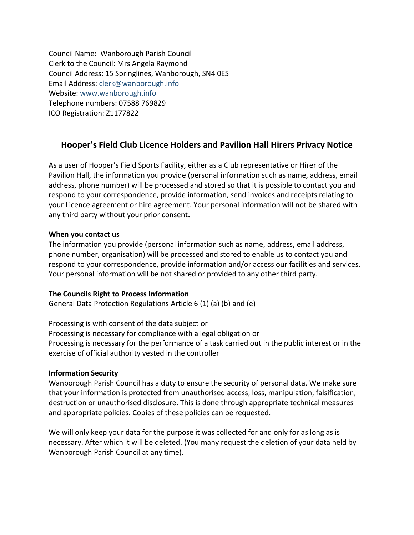Council Name: Wanborough Parish Council Clerk to the Council: Mrs Angela Raymond Council Address: 15 Springlines, Wanborough, SN4 0ES Email Address: [clerk@wanborough.info](mailto:clerk@wanborough.info) Website: [www.wanborough.info](http://www.wanborough.info/) Telephone numbers: 07588 769829 ICO Registration: Z1177822

## **Hooper's Field Club Licence Holders and Pavilion Hall Hirers Privacy Notice**

As a user of Hooper's Field Sports Facility, either as a Club representative or Hirer of the Pavilion Hall, the information you provide (personal information such as name, address, email address, phone number) will be processed and stored so that it is possible to contact you and respond to your correspondence, provide information, send invoices and receipts relating to your Licence agreement or hire agreement. Your personal information will not be shared with any third party without your prior consent**.**

### **When you contact us**

The information you provide (personal information such as name, address, email address, phone number, organisation) will be processed and stored to enable us to contact you and respond to your correspondence, provide information and/or access our facilities and services. Your personal information will be not shared or provided to any other third party.

### **The Councils Right to Process Information**

General Data Protection Regulations Article 6 (1) (a) (b) and (e)

Processing is with consent of the data subject or Processing is necessary for compliance with a legal obligation or Processing is necessary for the performance of a task carried out in the public interest or in the exercise of official authority vested in the controller

### **Information Security**

Wanborough Parish Council has a duty to ensure the security of personal data. We make sure that your information is protected from unauthorised access, loss, manipulation, falsification, destruction or unauthorised disclosure. This is done through appropriate technical measures and appropriate policies. Copies of these policies can be requested.

We will only keep your data for the purpose it was collected for and only for as long as is necessary. After which it will be deleted. (You many request the deletion of your data held by Wanborough Parish Council at any time).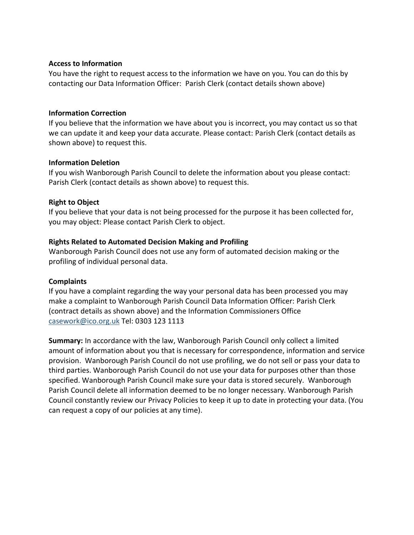#### **Access to Information**

You have the right to request access to the information we have on you. You can do this by contacting our Data Information Officer: Parish Clerk (contact details shown above)

#### **Information Correction**

If you believe that the information we have about you is incorrect, you may contact us so that we can update it and keep your data accurate. Please contact: Parish Clerk (contact details as shown above) to request this.

### **Information Deletion**

If you wish Wanborough Parish Council to delete the information about you please contact: Parish Clerk (contact details as shown above) to request this.

### **Right to Object**

If you believe that your data is not being processed for the purpose it has been collected for, you may object: Please contact Parish Clerk to object.

### **Rights Related to Automated Decision Making and Profiling**

Wanborough Parish Council does not use any form of automated decision making or the profiling of individual personal data.

### **Complaints**

If you have a complaint regarding the way your personal data has been processed you may make a complaint to Wanborough Parish Council Data Information Officer: Parish Clerk (contract details as shown above) and the Information Commissioners Office [casework@ico.org.uk](mailto:casework@ico.org.uk) Tel: 0303 123 1113

**Summary:** In accordance with the law, Wanborough Parish Council only collect a limited amount of information about you that is necessary for correspondence, information and service provision. Wanborough Parish Council do not use profiling, we do not sell or pass your data to third parties. Wanborough Parish Council do not use your data for purposes other than those specified. Wanborough Parish Council make sure your data is stored securely. Wanborough Parish Council delete all information deemed to be no longer necessary. Wanborough Parish Council constantly review our Privacy Policies to keep it up to date in protecting your data. (You can request a copy of our policies at any time).